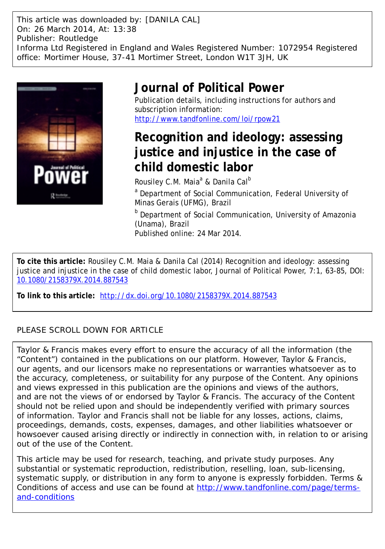This article was downloaded by: [DANILA CAL] On: 26 March 2014, At: 13:38 Publisher: Routledge Informa Ltd Registered in England and Wales Registered Number: 1072954 Registered office: Mortimer House, 37-41 Mortimer Street, London W1T 3JH, UK



## **Journal of Political Power**

Publication details, including instructions for authors and subscription information: <http://www.tandfonline.com/loi/rpow21>

# **Recognition and ideology: assessing justice and injustice in the case of child domestic labor**

Rousiley C.M. Maia<sup>a</sup> & Danila Cal<sup>b</sup>

<sup>a</sup> Department of Social Communication, Federal University of Minas Gerais (UFMG), Brazil

**b** Department of Social Communication, University of Amazonia (Unama), Brazil

Published online: 24 Mar 2014.

**To cite this article:** Rousiley C.M. Maia & Danila Cal (2014) Recognition and ideology: assessing justice and injustice in the case of child domestic labor, Journal of Political Power, 7:1, 63-85, DOI: [10.1080/2158379X.2014.887543](http://www.tandfonline.com/action/showCitFormats?doi=10.1080/2158379X.2014.887543)

**To link to this article:** <http://dx.doi.org/10.1080/2158379X.2014.887543>

### PLEASE SCROLL DOWN FOR ARTICLE

Taylor & Francis makes every effort to ensure the accuracy of all the information (the "Content") contained in the publications on our platform. However, Taylor & Francis, our agents, and our licensors make no representations or warranties whatsoever as to the accuracy, completeness, or suitability for any purpose of the Content. Any opinions and views expressed in this publication are the opinions and views of the authors, and are not the views of or endorsed by Taylor & Francis. The accuracy of the Content should not be relied upon and should be independently verified with primary sources of information. Taylor and Francis shall not be liable for any losses, actions, claims, proceedings, demands, costs, expenses, damages, and other liabilities whatsoever or howsoever caused arising directly or indirectly in connection with, in relation to or arising out of the use of the Content.

This article may be used for research, teaching, and private study purposes. Any substantial or systematic reproduction, redistribution, reselling, loan, sub-licensing, systematic supply, or distribution in any form to anyone is expressly forbidden. Terms & Conditions of access and use can be found at [http://www.tandfonline.com/page/terms](http://www.tandfonline.com/page/terms-and-conditions)[and-conditions](http://www.tandfonline.com/page/terms-and-conditions)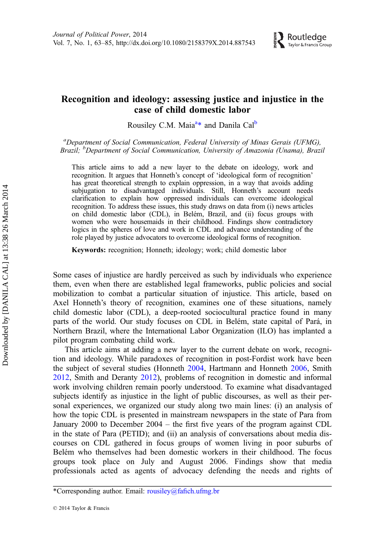### Recognition and ideology: assessing justice and injustice in the case of child domestic labor

Rousiley C.M. Maia<sup>a</sup>\* and Danila Cal<sup>b</sup>

<sup>a</sup>Department of Social Communication, Federal University of Minas Gerais (UFMG), Brazil; <sup>b</sup>Department of Social Communication, University of Amazonia (Unama), Brazil

This article aims to add a new layer to the debate on ideology, work and recognition. It argues that Honneth's concept of 'ideological form of recognition' has great theoretical strength to explain oppression, in a way that avoids adding subjugation to disadvantaged individuals. Still, Honneth's account needs clarification to explain how oppressed individuals can overcome ideological recognition. To address these issues, this study draws on data from (i) news articles on child domestic labor (CDL), in Belém, Brazil, and (ii) focus groups with women who were housemaids in their childhood. Findings show contradictory logics in the spheres of love and work in CDL and advance understanding of the role played by justice advocators to overcome ideological forms of recognition.

Keywords: recognition; Honneth; ideology; work; child domestic labor

Some cases of injustice are hardly perceived as such by individuals who experience them, even when there are established legal frameworks, public policies and social mobilization to combat a particular situation of injustice. This article, based on Axel Honneth's theory of recognition, examines one of these situations, namely child domestic labor (CDL), a deep-rooted sociocultural practice found in many parts of the world. Our study focuses on CDL in Belém, state capital of Pará, in Northern Brazil, where the International Labor Organization (ILO) has implanted a pilot program combating child work.

This article aims at adding a new layer to the current debate on work, recognition and ideology. While paradoxes of recognition in post-Fordist work have been the subject of several studies (Honneth [2004](#page-22-0), Hartmann and Honneth [2006,](#page-22-0) Smith [2012,](#page-23-0) Smith and Deranty [2012](#page-23-0)), problems of recognition in domestic and informal work involving children remain poorly understood. To examine what disadvantaged subjects identify as injustice in the light of public discourses, as well as their personal experiences, we organized our study along two main lines: (i) an analysis of how the topic CDL is presented in mainstream newspapers in the state of Para from January 2000 to December 2004 – the first five years of the program against CDL in the state of Para (PETID); and (ii) an analysis of conversations about media discourses on CDL gathered in focus groups of women living in poor suburbs of Belém who themselves had been domestic workers in their childhood. The focus groups took place on July and August 2006. Findings show that media professionals acted as agents of advocacy defending the needs and rights of

<sup>\*</sup>Corresponding author. Email: [rousiley@fa](mailto:rousiley@fafich.ufmg.br)fich.ufmg.br

<sup>© 2014</sup> Taylor & Francis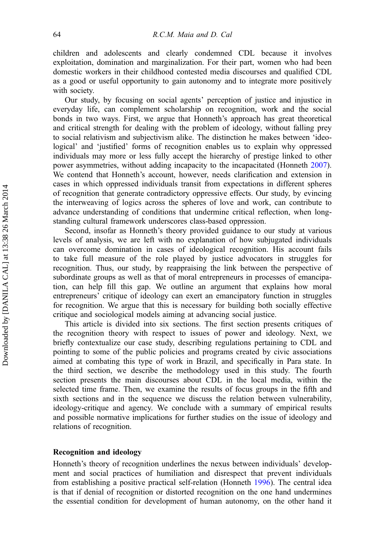children and adolescents and clearly condemned CDL because it involves exploitation, domination and marginalization. For their part, women who had been domestic workers in their childhood contested media discourses and qualified CDL as a good or useful opportunity to gain autonomy and to integrate more positively with society.

Our study, by focusing on social agents' perception of justice and injustice in everyday life, can complement scholarship on recognition, work and the social bonds in two ways. First, we argue that Honneth's approach has great theoretical and critical strength for dealing with the problem of ideology, without falling prey to social relativism and subjectivism alike. The distinction he makes between 'ideological' and 'justified' forms of recognition enables us to explain why oppressed individuals may more or less fully accept the hierarchy of prestige linked to other power asymmetries, without adding incapacity to the incapacitated (Honneth [2007](#page-21-0)). We contend that Honneth's account, however, needs clarification and extension in cases in which oppressed individuals transit from expectations in different spheres of recognition that generate contradictory oppressive effects. Our study, by evincing the interweaving of logics across the spheres of love and work, can contribute to advance understanding of conditions that undermine critical reflection, when longstanding cultural framework underscores class-based oppression.

Second, insofar as Honneth's theory provided guidance to our study at various levels of analysis, we are left with no explanation of how subjugated individuals can overcome domination in cases of ideological recognition. His account fails to take full measure of the role played by justice advocators in struggles for recognition. Thus, our study, by reappraising the link between the perspective of subordinate groups as well as that of moral entrepreneurs in processes of emancipation, can help fill this gap. We outline an argument that explains how moral entrepreneurs' critique of ideology can exert an emancipatory function in struggles for recognition. We argue that this is necessary for building both socially effective critique and sociological models aiming at advancing social justice.

This article is divided into six sections. The first section presents critiques of the recognition theory with respect to issues of power and ideology. Next, we briefly contextualize our case study, describing regulations pertaining to CDL and pointing to some of the public policies and programs created by civic associations aimed at combating this type of work in Brazil, and specifically in Para state. In the third section, we describe the methodology used in this study. The fourth section presents the main discourses about CDL in the local media, within the selected time frame. Then, we examine the results of focus groups in the fifth and sixth sections and in the sequence we discuss the relation between vulnerability, ideology-critique and agency. We conclude with a summary of empirical results and possible normative implications for further studies on the issue of ideology and relations of recognition.

#### Recognition and ideology

Honneth's theory of recognition underlines the nexus between individuals' development and social practices of humiliation and disrespect that prevent individuals from establishing a positive practical self-relation (Honneth 1996). The central idea is that if denial of recognition or distorted recognition on the one hand undermines the essential condition for development of human autonomy, on the other hand it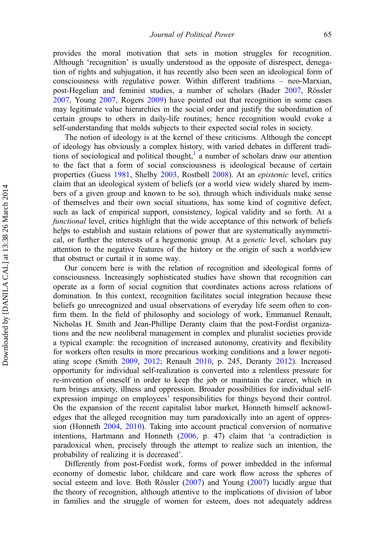provides the moral motivation that sets in motion struggles for recognition. Although 'recognition' is usually understood as the opposite of disrespect, denegation of rights and subjugation, it has recently also been seen an ideological form of consciousness with regulative power. Within different traditions – neo-Marxian, post-Hegelian and feminist studies, a number of scholars (Bader [2007,](#page-21-0) Rössler [2007,](#page-21-0) Young [2007](#page-21-0), Rogers [2009\)](#page-23-0) have pointed out that recognition in some cases may legitimate value hierarchies in the social order and justify the subordination of certain groups to others in daily-life routines; hence recognition would evoke a self-understanding that molds subjects to their expected social roles in society.

The notion of ideology is at the kernel of these criticisms. Although the concept of ideology has obviously a complex history, with varied debates in different traditions of sociological and political thought, $\frac{1}{2}$  $\frac{1}{2}$  $\frac{1}{2}$  a number of scholars draw our attention to the fact that a form of social consciousness is ideological because of certain properties (Guess [1981,](#page-22-0) Shelby [2003,](#page-23-0) Rostbøll [2008](#page-23-0)). At an epistemic level, critics claim that an ideological system of beliefs (or a world view widely shared by members of a given group and known to be so), through which individuals make sense of themselves and their own social situations, has some kind of cognitive defect, such as lack of empirical support, consistency, logical validity and so forth. At a functional level, critics highlight that the wide acceptance of this network of beliefs helps to establish and sustain relations of power that are systematically asymmetrical, or further the interests of a hegemonic group. At a genetic level, scholars pay attention to the negative features of the history or the origin of such a worldview that obstruct or curtail it in some way.

Our concern here is with the relation of recognition and ideological forms of consciousness. Increasingly sophisticated studies have shown that recognition can operate as a form of social cognition that coordinates actions across relations of domination. In this context, recognition facilitates social integration because these beliefs go unrecognized and usual observations of everyday life seem often to confirm them. In the field of philosophy and sociology of work, Emmanuel Renault, Nicholas H. Smith and Jean-Phillipe Deranty claim that the post-Fordist organizations and the new neoliberal management in complex and pluralist societies provide a typical example: the recognition of increased autonomy, creativity and flexibility for workers often results in more precarious working conditions and a lower negotiating scope (Smith [2009,](#page-23-0) [2012](#page-23-0); Renault [2010](#page-23-0), p. 245, Deranty [2012\)](#page-21-0). Increased opportunity for individual self-realization is converted into a relentless pressure for re-invention of oneself in order to keep the job or maintain the career, which in turn brings anxiety, illness and oppression. Broader possibilities for individual selfexpression impinge on employees' responsibilities for things beyond their control. On the expansion of the recent capitalist labor market, Honneth himself acknowledges that the alleged recognition may turn paradoxically into an agent of oppression (Honneth [2004,](#page-22-0) [2010](#page-22-0)). Taking into account practical conversion of normative intentions, Hartmann and Honneth ([2006,](#page-22-0) p. 47) claim that 'a contradiction is paradoxical when, precisely through the attempt to realize such an intention, the probability of realizing it is decreased'.

Differently from post-Fordist work, forms of power imbedded in the informal economy of domestic labor, childcare and care work flow across the spheres of social esteem and love. Both Rössler [\(2007](#page-21-0)) and Young ([2007\)](#page-21-0) lucidly argue that the theory of recognition, although attentive to the implications of division of labor in families and the struggle of women for esteem, does not adequately address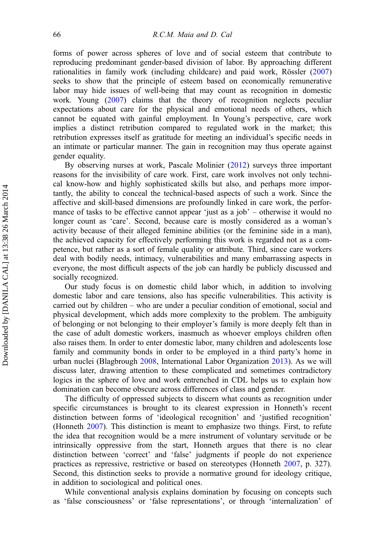forms of power across spheres of love and of social esteem that contribute to reproducing predominant gender-based division of labor. By approaching different rationalities in family work (including childcare) and paid work, Rössler ([2007\)](#page-21-0) seeks to show that the principle of esteem based on economically remunerative labor may hide issues of well-being that may count as recognition in domestic work. Young ([2007](#page-21-0)) claims that the theory of recognition neglects peculiar expectations about care for the physical and emotional needs of others, which cannot be equated with gainful employment. In Young's perspective, care work implies a distinct retribution compared to regulated work in the market; this retribution expresses itself as gratitude for meeting an individual's specific needs in an intimate or particular manner. The gain in recognition may thus operate against gender equality.

By observing nurses at work, Pascale Molinier [\(2012](#page-22-0)) surveys three important reasons for the invisibility of care work. First, care work involves not only technical know-how and highly sophisticated skills but also, and perhaps more importantly, the ability to conceal the technical-based aspects of such a work. Since the affective and skill-based dimensions are profoundly linked in care work, the performance of tasks to be effective cannot appear 'just as a job' – otherwise it would no longer count as 'care'. Second, because care is mostly considered as a woman's activity because of their alleged feminine abilities (or the feminine side in a man), the achieved capacity for effectively performing this work is regarded not as a competence, but rather as a sort of female quality or attribute. Third, since care workers deal with bodily needs, intimacy, vulnerabilities and many embarrassing aspects in everyone, the most difficult aspects of the job can hardly be publicly discussed and socially recognized.

Our study focus is on domestic child labor which, in addition to involving domestic labor and care tensions, also has specific vulnerabilities. This activity is carried out by children – who are under a peculiar condition of emotional, social and physical development, which adds more complexity to the problem. The ambiguity of belonging or not belonging to their employer's family is more deeply felt than in the case of adult domestic workers, inasmuch as whoever employs children often also raises them. In order to enter domestic labor, many children and adolescents lose family and community bonds in order to be employed in a third party's home in urban nuclei (Blagbrough [2008,](#page-21-0) International Labor Organization [2013](#page-22-0)). As we will discuss later, drawing attention to these complicated and sometimes contradictory logics in the sphere of love and work entrenched in CDL helps us to explain how domination can become obscure across differences of class and gender.

The difficulty of oppressed subjects to discern what counts as recognition under specific circumstances is brought to its clearest expression in Honneth's recent distinction between forms of 'ideological recognition' and 'justified recognition' (Honneth [2007](#page-21-0)). This distinction is meant to emphasize two things. First, to refute the idea that recognition would be a mere instrument of voluntary servitude or be intrinsically oppressive from the start, Honneth argues that there is no clear distinction between 'correct' and 'false' judgments if people do not experience practices as repressive, restrictive or based on stereotypes (Honneth [2007,](#page-21-0) p. 327). Second, this distinction seeks to provide a normative ground for ideology critique, in addition to sociological and political ones.

While conventional analysis explains domination by focusing on concepts such as 'false consciousness' or 'false representations', or through 'internalization' of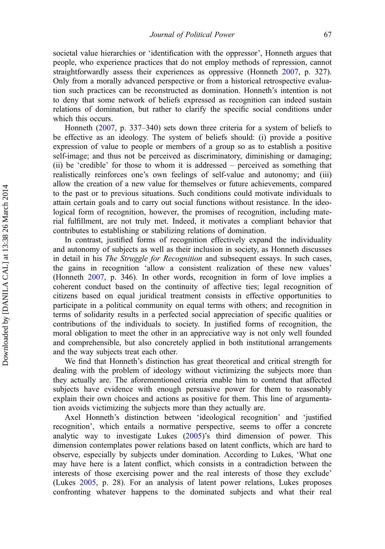societal value hierarchies or 'identification with the oppressor', Honneth argues that people, who experience practices that do not employ methods of repression, cannot straightforwardly assess their experiences as oppressive (Honneth [2007,](#page-21-0) p. 327). Only from a morally advanced perspective or from a historical retrospective evaluation such practices can be reconstructed as domination. Honneth's intention is not to deny that some network of beliefs expressed as recognition can indeed sustain relations of domination, but rather to clarify the specific social conditions under which this occurs.

Honneth [\(2007](#page-21-0), p. 337–340) sets down three criteria for a system of beliefs to be effective as an ideology. The system of beliefs should: (i) provide a positive expression of value to people or members of a group so as to establish a positive self-image; and thus not be perceived as discriminatory, diminishing or damaging; (ii) be 'credible' for those to whom it is addressed – perceived as something that realistically reinforces one's own feelings of self-value and autonomy; and (iii) allow the creation of a new value for themselves or future achievements, compared to the past or to previous situations. Such conditions could motivate individuals to attain certain goals and to carry out social functions without resistance. In the ideological form of recognition, however, the promises of recognition, including material fulfillment, are not truly met. Indeed, it motivates a compliant behavior that contributes to establishing or stabilizing relations of domination.

In contrast, justified forms of recognition effectively expand the individuality and autonomy of subjects as well as their inclusion in society, as Honneth discusses in detail in his *The Struggle for Recognition* and subsequent essays. In such cases, the gains in recognition 'allow a consistent realization of these new values' (Honneth [2007,](#page-21-0) p. 346). In other words, recognition in form of love implies a coherent conduct based on the continuity of affective ties; legal recognition of citizens based on equal juridical treatment consists in effective opportunities to participate in a political community on equal terms with others; and recognition in terms of solidarity results in a perfected social appreciation of specific qualities or contributions of the individuals to society. In justified forms of recognition, the moral obligation to meet the other in an appreciative way is not only well founded and comprehensible, but also concretely applied in both institutional arrangements and the way subjects treat each other.

We find that Honneth's distinction has great theoretical and critical strength for dealing with the problem of ideology without victimizing the subjects more than they actually are. The aforementioned criteria enable him to contend that affected subjects have evidence with enough persuasive power for them to reasonably explain their own choices and actions as positive for them. This line of argumentation avoids victimizing the subjects more than they actually are.

Axel Honneth's distinction between 'ideological recognition' and 'justified recognition', which entails a normative perspective, seems to offer a concrete analytic way to investigate Lukes ([2005\)](#page-22-0)'s third dimension of power. This dimension contemplates power relations based on latent conflicts, which are hard to observe, especially by subjects under domination. According to Lukes, 'What one may have here is a latent conflict, which consists in a contradiction between the interests of those exercising power and the real interests of those they exclude' (Lukes [2005](#page-22-0), p. 28). For an analysis of latent power relations, Lukes proposes confronting whatever happens to the dominated subjects and what their real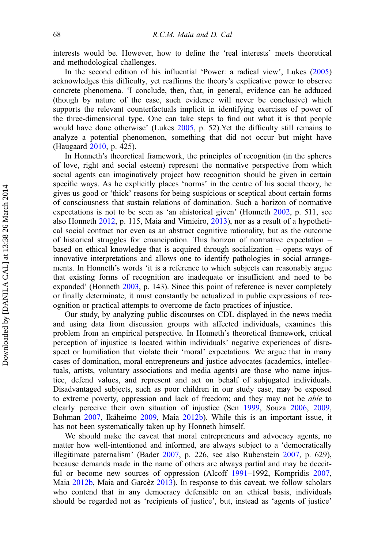interests would be. However, how to define the 'real interests' meets theoretical and methodological challenges.

In the second edition of his influential 'Power: a radical view', Lukes ([2005\)](#page-22-0) acknowledges this difficulty, yet reaffirms the theory's explicative power to observe concrete phenomena. 'I conclude, then, that, in general, evidence can be adduced (though by nature of the case, such evidence will never be conclusive) which supports the relevant counterfactuals implicit in identifying exercises of power of the three-dimensional type. One can take steps to find out what it is that people would have done otherwise' (Lukes [2005](#page-22-0), p. 52).Yet the difficulty still remains to analyze a potential phenomenon, something that did not occur but might have (Haugaard 2010, p. 425).

In Honneth's theoretical framework, the principles of recognition (in the spheres of love, right and social esteem) represent the normative perspective from which social agents can imaginatively project how recognition should be given in certain specific ways. As he explicitly places 'norms' in the centre of his social theory, he gives us good or 'thick' reasons for being suspicious or sceptical about certain forms of consciousness that sustain relations of domination. Such a horizon of normative expectations is not to be seen as 'an ahistorical given' (Honneth [2002,](#page-22-0) p. 511, see also Honneth [2012,](#page-22-0) p. 115, Maia and Vimieiro, [2013\)](#page-22-0), nor as a result of a hypothetical social contract nor even as an abstract cognitive rationality, but as the outcome of historical struggles for emancipation. This horizon of normative expectation – based on ethical knowledge that is acquired through socialization – opens ways of innovative interpretations and allows one to identify pathologies in social arrangements. In Honneth's words 'it is a reference to which subjects can reasonably argue that existing forms of recognition are inadequate or insufficient and need to be expanded' (Honneth 2003, p. 143). Since this point of reference is never completely or finally determinate, it must constantly be actualized in public expressions of recognition or practical attempts to overcome de facto practices of injustice.

Our study, by analyzing public discourses on CDL displayed in the news media and using data from discussion groups with affected individuals, examines this problem from an empirical perspective. In Honneth's theoretical framework, critical perception of injustice is located within individuals' negative experiences of disrespect or humiliation that violate their 'moral' expectations. We argue that in many cases of domination, moral entrepreneurs and justice advocates (academics, intellectuals, artists, voluntary associations and media agents) are those who name injustice, defend values, and represent and act on behalf of subjugated individuals. Disadvantaged subjects, such as poor children in our study case, may be exposed to extreme poverty, oppression and lack of freedom; and they may not be able to clearly perceive their own situation of injustice (Sen [1999,](#page-23-0) Souza [2006](#page-23-0), [2009,](#page-23-0) Bohman [2007,](#page-21-0) Ikäheimo [2009,](#page-22-0) Maia [2012b](#page-22-0)). While this is an important issue, it has not been systematically taken up by Honneth himself.

We should make the caveat that moral entrepreneurs and advocacy agents, no matter how well-intentioned and informed, are always subject to a 'democratically illegitimate paternalism' (Bader [2007](#page-21-0), p. 226, see also Rubenstein [2007,](#page-23-0) p. 629), because demands made in the name of others are always partial and may be deceitful or become new sources of oppression (Alcoff [1991](#page-21-0)–1992, Kompridis [2007,](#page-22-0) Maia [2012b,](#page-22-0) Maia and Garcêz [2013\)](#page-22-0). In response to this caveat, we follow scholars who contend that in any democracy defensible on an ethical basis, individuals should be regarded not as 'recipients of justice', but, instead as 'agents of justice'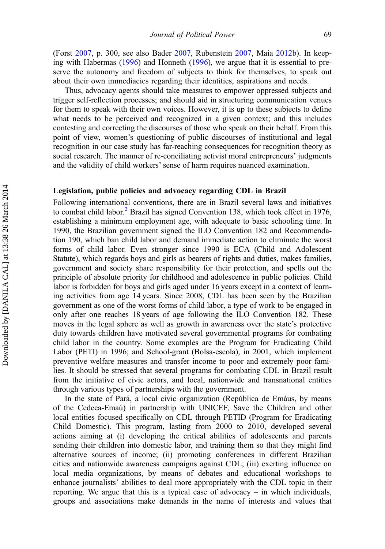(Forst [2007](#page-21-0), p. 300, see also Bader [2007,](#page-21-0) Rubenstein [2007](#page-23-0), Maia [2012b\)](#page-22-0). In keeping with Habermas [\(1996\)](#page-22-0) and Honneth (1996), we argue that it is essential to preserve the autonomy and freedom of subjects to think for themselves, to speak out about their own immediacies regarding their identities, aspirations and needs.

Thus, advocacy agents should take measures to empower oppressed subjects and trigger self-reflection processes; and should aid in structuring communication venues for them to speak with their own voices. However, it is up to these subjects to define what needs to be perceived and recognized in a given context; and this includes contesting and correcting the discourses of those who speak on their behalf. From this point of view, women's questioning of public discourses of institutional and legal recognition in our case study has far-reaching consequences for recognition theory as social research. The manner of re-conciliating activist moral entrepreneurs' judgments and the validity of child workers' sense of harm requires nuanced examination.

#### Legislation, public policies and advocacy regarding CDL in Brazil

Following international conventions, there are in Brazil several laws and initiatives to combat child labor.<sup>[2](#page-20-0)</sup> Brazil has signed Convention 138, which took effect in 1976, establishing a minimum employment age, with adequate to basic schooling time. In 1990, the Brazilian government signed the ILO Convention 182 and Recommendation 190, which ban child labor and demand immediate action to eliminate the worst forms of child labor. Even stronger since 1990 is ECA (Child and Adolescent Statute), which regards boys and girls as bearers of rights and duties, makes families, government and society share responsibility for their protection, and spells out the principle of absolute priority for childhood and adolescence in public policies. Child labor is forbidden for boys and girls aged under 16 years except in a context of learning activities from age 14 years. Since 2008, CDL has been seen by the Brazilian government as one of the worst forms of child labor, a type of work to be engaged in only after one reaches 18 years of age following the ILO Convention 182. These moves in the legal sphere as well as growth in awareness over the state's protective duty towards children have motivated several governmental programs for combating child labor in the country. Some examples are the Program for Eradicating Child Labor (PETI) in 1996; and School-grant (Bolsa-escola), in 2001, which implement preventive welfare measures and transfer income to poor and extremely poor families. It should be stressed that several programs for combating CDL in Brazil result from the initiative of civic actors, and local, nationwide and transnational entities through various types of partnerships with the government.

In the state of Pará, a local civic organization (República de Emáus, by means of the Cedeca-Emaú) in partnership with UNICEF, Save the Children and other local entities focused specifically on CDL through PETID (Program for Eradicating Child Domestic). This program, lasting from 2000 to 2010, developed several actions aiming at (i) developing the critical abilities of adolescents and parents sending their children into domestic labor, and training them so that they might find alternative sources of income; (ii) promoting conferences in different Brazilian cities and nationwide awareness campaigns against CDL; (iii) exerting influence on local media organizations, by means of debates and educational workshops to enhance journalists' abilities to deal more appropriately with the CDL topic in their reporting. We argue that this is a typical case of advocacy – in which individuals, groups and associations make demands in the name of interests and values that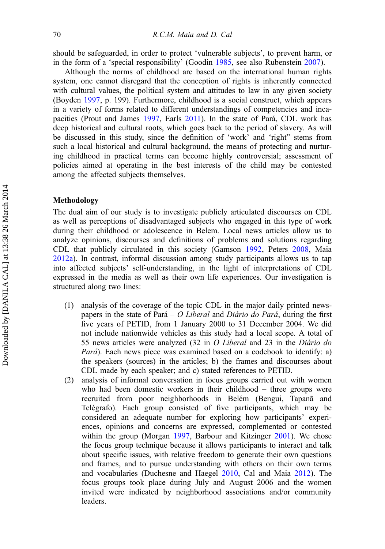should be safeguarded, in order to protect 'vulnerable subjects', to prevent harm, or in the form of a 'special responsibility' (Goodin [1985,](#page-22-0) see also Rubenstein [2007\)](#page-23-0).

Although the norms of childhood are based on the international human rights system, one cannot disregard that the conception of rights is inherently connected with cultural values, the political system and attitudes to law in any given society (Boyden [1997](#page-21-0), p. 199). Furthermore, childhood is a social construct, which appears in a variety of forms related to different understandings of competencies and incapacities (Prout and James [1997](#page-23-0), Earls [2011\)](#page-21-0). In the state of Pará, CDL work has deep historical and cultural roots, which goes back to the period of slavery. As will be discussed in this study, since the definition of 'work' and 'right" stems from such a local historical and cultural background, the means of protecting and nurturing childhood in practical terms can become highly controversial; assessment of policies aimed at operating in the best interests of the child may be contested among the affected subjects themselves.

#### Methodology

The dual aim of our study is to investigate publicly articulated discourses on CDL as well as perceptions of disadvantaged subjects who engaged in this type of work during their childhood or adolescence in Belem. Local news articles allow us to analyze opinions, discourses and definitions of problems and solutions regarding CDL that publicly circulated in this society (Gamson [1992,](#page-22-0) Peters [2008,](#page-22-0) Maia [2012a](#page-22-0)). In contrast, informal discussion among study participants allows us to tap into affected subjects' self-understanding, in the light of interpretations of CDL expressed in the media as well as their own life experiences. Our investigation is structured along two lines:

- (1) analysis of the coverage of the topic CDL in the major daily printed newspapers in the state of Pará – O Liberal and Diário do Pará, during the first five years of PETID, from 1 January 2000 to 31 December 2004. We did not include nationwide vehicles as this study had a local scope. A total of 55 news articles were analyzed (32 in O Liberal and 23 in the Diário do Pará). Each news piece was examined based on a codebook to identify: a) the speakers (sources) in the articles; b) the frames and discourses about CDL made by each speaker; and c) stated references to PETID.
- (2) analysis of informal conversation in focus groups carried out with women who had been domestic workers in their childhood – three groups were recruited from poor neighborhoods in Belém (Bengui, Tapanã and Telégrafo). Each group consisted of five participants, which may be considered an adequate number for exploring how participants' experiences, opinions and concerns are expressed, complemented or contested within the group (Morgan [1997](#page-22-0), Barbour and Kitzinger [2001\)](#page-21-0). We chose the focus group technique because it allows participants to interact and talk about specific issues, with relative freedom to generate their own questions and frames, and to pursue understanding with others on their own terms and vocabularies (Duchesne and Haegel [2010](#page-21-0), Cal and Maia [2012](#page-21-0)). The focus groups took place during July and August 2006 and the women invited were indicated by neighborhood associations and/or community leaders.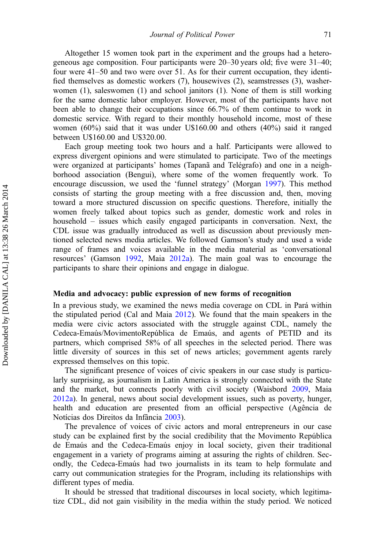Altogether 15 women took part in the experiment and the groups had a heterogeneous age composition. Four participants were 20–30 years old; five were 31–40; four were 41–50 and two were over 51. As for their current occupation, they identified themselves as domestic workers (7), housewives (2), seamstresses (3), washerwomen (1), saleswomen (1) and school janitors (1). None of them is still working for the same domestic labor employer. However, most of the participants have not been able to change their occupations since 66.7% of them continue to work in domestic service. With regard to their monthly household income, most of these women (60%) said that it was under U\$160.00 and others (40%) said it ranged between U\$160.00 and U\$320.00.

Each group meeting took two hours and a half. Participants were allowed to express divergent opinions and were stimulated to participate. Two of the meetings were organized at participants' homes (Tapanã and Telégrafo) and one in a neighborhood association (Bengui), where some of the women frequently work. To encourage discussion, we used the 'funnel strategy' (Morgan [1997](#page-22-0)). This method consists of starting the group meeting with a free discussion and, then, moving toward a more structured discussion on specific questions. Therefore, initially the women freely talked about topics such as gender, domestic work and roles in household – issues which easily engaged participants in conversation. Next, the CDL issue was gradually introduced as well as discussion about previously mentioned selected news media articles. We followed Gamson's study and used a wide range of frames and voices available in the media material as 'conversational resources' (Gamson [1992](#page-22-0), Maia [2012a\)](#page-22-0). The main goal was to encourage the participants to share their opinions and engage in dialogue.

#### Media and advocacy: public expression of new forms of recognition

In a previous study, we examined the news media coverage on CDL in Pará within the stipulated period (Cal and Maia [2012](#page-21-0)). We found that the main speakers in the media were civic actors associated with the struggle against CDL, namely the Cedeca-Emaús/MovimentoRepública de Emaús, and agents of PETID and its partners, which comprised 58% of all speeches in the selected period. There was little diversity of sources in this set of news articles; government agents rarely expressed themselves on this topic.

The significant presence of voices of civic speakers in our case study is particularly surprising, as journalism in Latin America is strongly connected with the State and the market, but connects poorly with civil society (Waisbord [2009](#page-23-0), Maia [2012a](#page-22-0)). In general, news about social development issues, such as poverty, hunger, health and education are presented from an official perspective (Agência de Notícias dos Direitos da Infância [2003\)](#page-21-0).

The prevalence of voices of civic actors and moral entrepreneurs in our case study can be explained first by the social credibility that the Movimento República de Emaús and the Cedeca-Emaús enjoy in local society, given their traditional engagement in a variety of programs aiming at assuring the rights of children. Secondly, the Cedeca-Emaús had two journalists in its team to help formulate and carry out communication strategies for the Program, including its relationships with different types of media.

It should be stressed that traditional discourses in local society, which legitimatize CDL, did not gain visibility in the media within the study period. We noticed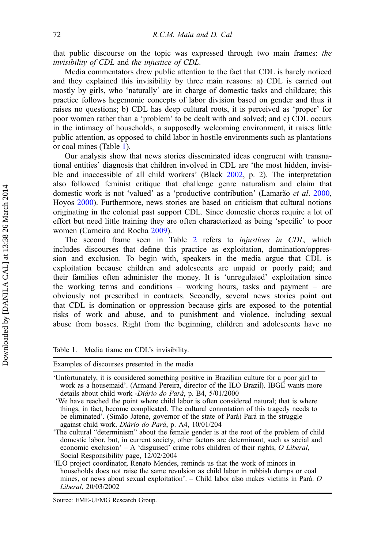that public discourse on the topic was expressed through two main frames: the invisibility of CDL and the injustice of CDL.

Media commentators drew public attention to the fact that CDL is barely noticed and they explained this invisibility by three main reasons: a) CDL is carried out mostly by girls, who 'naturally' are in charge of domestic tasks and childcare; this practice follows hegemonic concepts of labor division based on gender and thus it raises no questions; b) CDL has deep cultural roots, it is perceived as 'proper' for poor women rather than a 'problem' to be dealt with and solved; and c) CDL occurs in the intimacy of households, a supposedly welcoming environment, it raises little public attention, as opposed to child labor in hostile environments such as plantations or coal mines (Table 1).

Our analysis show that news stories disseminated ideas congruent with transnational entities' diagnosis that children involved in CDL are 'the most hidden, invisible and inaccessible of all child workers' (Black [2002](#page-21-0), p. 2). The interpretation also followed feminist critique that challenge genre naturalism and claim that domestic work is not 'valued' as a 'productive contribution' (Lamarão et al. [2000,](#page-22-0) Hoyos [2000\)](#page-22-0). Furthermore, news stories are based on criticism that cultural notions originating in the colonial past support CDL. Since domestic chores require a lot of effort but need little training they are often characterized as being 'specific' to poor women (Carneiro and Rocha [2009\)](#page-21-0).

The second frame seen in Table [2](#page-11-0) refers to *injustices in CDL*, which includes discourses that define this practice as exploitation, domination/oppression and exclusion. To begin with, speakers in the media argue that CDL is exploitation because children and adolescents are unpaid or poorly paid; and their families often administer the money. It is 'unregulated' exploitation since the working terms and conditions – working hours, tasks and payment – are obviously not prescribed in contracts. Secondly, several news stories point out that CDL is domination or oppression because girls are exposed to the potential risks of work and abuse, and to punishment and violence, including sexual abuse from bosses. Right from the beginning, children and adolescents have no

Table 1. Media frame on CDL's invisibility.

| Examples of discourses presented in the media                                                                                                                                     |
|-----------------------------------------------------------------------------------------------------------------------------------------------------------------------------------|
| Unfortunately, it is considered something positive in Brazilian culture for a poor girl to<br>work as a housemaid'. (Armand Pereira, director of the ILO Brazil). IBGE wants more |

details about child work -Diário do Pará, p. B4, 5/01/2000 'We have reached the point where child labor is often considered natural; that is where things, in fact, become complicated. The cultural connotation of this tragedy needs to be eliminated'. (Simão Jatene, governor of the state of Pará) Pará in the struggle against child work. Diário do Pará, p. A4, 10/01/204

'The cultural "determinism" about the female gender is at the root of the problem of child domestic labor, but, in current society, other factors are determinant, such as social and economic exclusion' – A 'disguised' crime robs children of their rights,  $O$  Liberal, Social Responsibility page, 12/02/2004

<sup>&#</sup>x27;ILO project coordinator, Renato Mendes, reminds us that the work of minors in households does not raise the same revulsion as child labor in rubbish dumps or coal mines, or news about sexual exploitation'. – Child labor also makes victims in Pará. O Liberal, 20/03/2002

Source: EME-UFMG Research Group.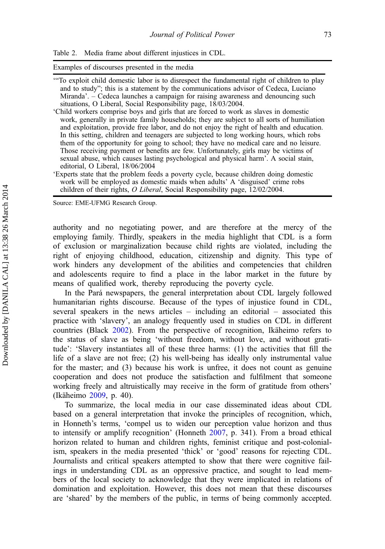<span id="page-11-0"></span>Table 2. Media frame about different injustices in CDL.

|  | Examples of discourses presented in the media |  |  |  |
|--|-----------------------------------------------|--|--|--|
|  |                                               |  |  |  |

<sup>&#</sup>x27;"To exploit child domestic labor is to disrespect the fundamental right of children to play and to study"; this is a statement by the communications advisor of Cedeca, Luciano Miranda'. – Cedeca launches a campaign for raising awareness and denouncing such situations, O Liberal, Social Responsibility page, 18/03/2004.

'Child workers comprise boys and girls that are forced to work as slaves in domestic work, generally in private family households; they are subject to all sorts of humiliation and exploitation, provide free labor, and do not enjoy the right of health and education. In this setting, children and teenagers are subjected to long working hours, which robs them of the opportunity for going to school; they have no medical care and no leisure. Those receiving payment or benefits are few. Unfortunately, girls may be victims of sexual abuse, which causes lasting psychological and physical harm'. A social stain, editorial, O Liberal, 18/06/2004

'Experts state that the problem feeds a poverty cycle, because children doing domestic work will be employed as domestic maids when adults' A 'disguised' crime robs children of their rights, O Liberal, Social Responsibility page, 12/02/2004.

Source: EME-UFMG Research Group.

authority and no negotiating power, and are therefore at the mercy of the employing family. Thirdly, speakers in the media highlight that CDL is a form of exclusion or marginalization because child rights are violated, including the right of enjoying childhood, education, citizenship and dignity. This type of work hinders any development of the abilities and competencies that children and adolescents require to find a place in the labor market in the future by means of qualified work, thereby reproducing the poverty cycle.

In the Pará newspapers, the general interpretation about CDL largely followed humanitarian rights discourse. Because of the types of injustice found in CDL, several speakers in the news articles – including an editorial – associated this practice with 'slavery', an analogy frequently used in studies on CDL in different countries (Black [2002](#page-21-0)). From the perspective of recognition, Ikäheimo refers to the status of slave as being 'without freedom, without love, and without gratitude': 'Slavery instantiates all of these three harms: (1) the activities that fill the life of a slave are not free; (2) his well-being has ideally only instrumental value for the master; and (3) because his work is unfree, it does not count as genuine cooperation and does not produce the satisfaction and fulfilment that someone working freely and altruistically may receive in the form of gratitude from others' (Ikäheimo [2009,](#page-22-0) p. 40).

To summarize, the local media in our case disseminated ideas about CDL based on a general interpretation that invoke the principles of recognition, which, in Honneth's terms, 'compel us to widen our perception value horizon and thus to intensify or amplify recognition' (Honneth [2007](#page-21-0), p. 341). From a broad ethical horizon related to human and children rights, feminist critique and post-colonialism, speakers in the media presented 'thick' or 'good' reasons for rejecting CDL. Journalists and critical speakers attempted to show that there were cognitive failings in understanding CDL as an oppressive practice, and sought to lead members of the local society to acknowledge that they were implicated in relations of domination and exploitation. However, this does not mean that these discourses are 'shared' by the members of the public, in terms of being commonly accepted.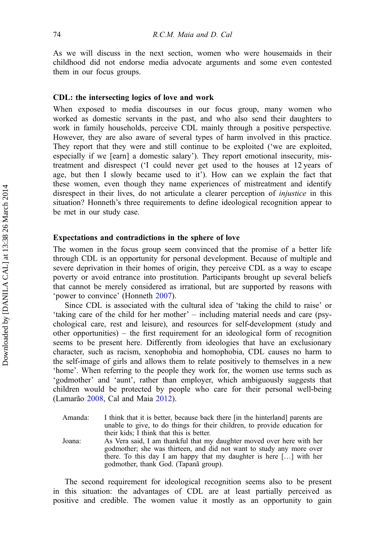As we will discuss in the next section, women who were housemaids in their childhood did not endorse media advocate arguments and some even contested them in our focus groups.

#### CDL: the intersecting logics of love and work

When exposed to media discourses in our focus group, many women who worked as domestic servants in the past, and who also send their daughters to work in family households, perceive CDL mainly through a positive perspective. However, they are also aware of several types of harm involved in this practice. They report that they were and still continue to be exploited ('we are exploited, especially if we [earn] a domestic salary'). They report emotional insecurity, mistreatment and disrespect ('I could never get used to the houses at 12 years of age, but then I slowly became used to it'). How can we explain the fact that these women, even though they name experiences of mistreatment and identify disrespect in their lives, do not articulate a clearer perception of injustice in this situation? Honneth's three requirements to define ideological recognition appear to be met in our study case.

#### Expectations and contradictions in the sphere of love

The women in the focus group seem convinced that the promise of a better life through CDL is an opportunity for personal development. Because of multiple and severe deprivation in their homes of origin, they perceive CDL as a way to escape poverty or avoid entrance into prostitution. Participants brought up several beliefs that cannot be merely considered as irrational, but are supported by reasons with 'power to convince' (Honneth [2007](#page-21-0)).

Since CDL is associated with the cultural idea of 'taking the child to raise' or 'taking care of the child for her mother' – including material needs and care (psychological care, rest and leisure), and resources for self-development (study and other opportunities) – the first requirement for an ideological form of recognition seems to be present here. Differently from ideologies that have an exclusionary character, such as racism, xenophobia and homophobia, CDL causes no harm to the self-image of girls and allows them to relate positively to themselves in a new 'home'. When referring to the people they work for, the women use terms such as 'godmother' and 'aunt', rather than employer, which ambiguously suggests that children would be protected by people who care for their personal well-being (Lamarão [2008](#page-22-0), Cal and Maia [2012\)](#page-21-0).

Amanda: I think that it is better, because back there [in the hinterland] parents are unable to give, to do things for their children, to provide education for their kids; I think that this is better. Joana: As Vera said, I am thankful that my daughter moved over here with her godmother; she was thirteen, and did not want to study any more over there. To this day I am happy that my daughter is here […] with her

The second requirement for ideological recognition seems also to be present in this situation: the advantages of CDL are at least partially perceived as positive and credible. The women value it mostly as an opportunity to gain

godmother, thank God. (Tapanã group).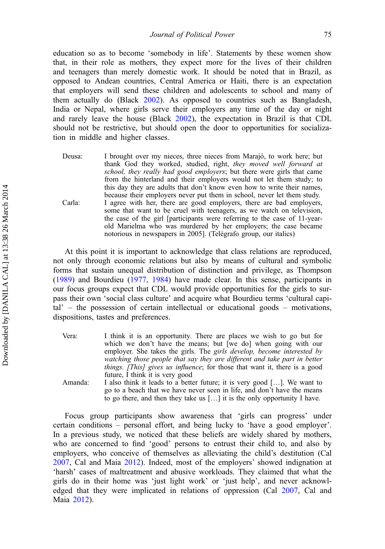education so as to become 'somebody in life'. Statements by these women show that, in their role as mothers, they expect more for the lives of their children and teenagers than merely domestic work. It should be noted that in Brazil, as opposed to Andean countries, Central America or Haiti, there is an expectation that employers will send these children and adolescents to school and many of them actually do (Black [2002](#page-21-0)). As opposed to countries such as Bangladesh, India or Nepal, where girls serve their employers any time of the day or night and rarely leave the house (Black [2002\)](#page-21-0), the expectation in Brazil is that CDL should not be restrictive, but should open the door to opportunities for socialization in middle and higher classes.

Deusa: I brought over my nieces, three nieces from Marajó, to work here; but thank God they worked, studied, right, they moved well forward at school, they really had good employers; but there were girls that came from the hinterland and their employers would not let them study; to this day they are adults that don't know even how to write their names, because their employers never put them in school, never let them study. Carla: I agree with her, there are good employers, there are bad employers, some that want to be cruel with teenagers, as we watch on television, the case of the girl [participants were referring to the case of 11-yearold Marielma who was murdered by her employers; the case became notorious in newspapers in 2005]. (Telégrafo group, our italics)

At this point it is important to acknowledge that class relations are reproduced, not only through economic relations but also by means of cultural and symbolic forms that sustain unequal distribution of distinction and privilege, as Thompson [\(1989](#page-23-0)) and Bourdieu ([1977, 1984\)](#page-21-0) have made clear. In this sense, participants in our focus groups expect that CDL would provide opportunities for the girls to surpass their own 'social class culture' and acquire what Bourdieu terms 'cultural capital' – the possession of certain intellectual or educational goods – motivations, dispositions, tastes and preferences.

Vera: I think it is an opportunity. There are places we wish to go but for which we don't have the means; but [we do] when going with our employer. She takes the girls. The girls develop, become interested by watching those people that say they are different and take part in better things. [This] gives us influence; for those that want it, there is a good future, I think it is very good Amanda: I also think it leads to a better future; it is very good […]. We want to go to a beach that we have never seen in life, and don't have the means to go there, and then they take us […] it is the only opportunity I have.

Focus group participants show awareness that 'girls can progress' under certain conditions – personal effort, and being lucky to 'have a good employer'. In a previous study, we noticed that these beliefs are widely shared by mothers, who are concerned to find 'good' persons to entrust their child to, and also by employers, who conceive of themselves as alleviating the child's destitution (Cal [2007,](#page-21-0) Cal and Maia [2012](#page-21-0)). Indeed, most of the employers' showed indignation at 'harsh' cases of maltreatment and abusive workloads. They claimed that what the girls do in their home was 'just light work' or 'just help', and never acknowledged that they were implicated in relations of oppression (Cal [2007,](#page-21-0) Cal and Maia [2012](#page-21-0)).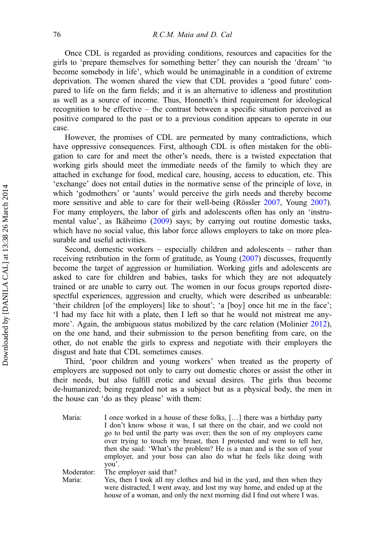Once CDL is regarded as providing conditions, resources and capacities for the girls to 'prepare themselves for something better' they can nourish the 'dream' 'to become somebody in life', which would be unimaginable in a condition of extreme deprivation. The women shared the view that CDL provides a 'good future' compared to life on the farm fields; and it is an alternative to idleness and prostitution as well as a source of income. Thus, Honneth's third requirement for ideological recognition to be effective – the contrast between a specific situation perceived as positive compared to the past or to a previous condition appears to operate in our case.

However, the promises of CDL are permeated by many contradictions, which have oppressive consequences. First, although CDL is often mistaken for the obligation to care for and meet the other's needs, there is a twisted expectation that working girls should meet the immediate needs of the family to which they are attached in exchange for food, medical care, housing, access to education, etc. This 'exchange' does not entail duties in the normative sense of the principle of love, in which 'godmothers' or 'aunts' would perceive the girls needs and thereby become more sensitive and able to care for their well-being (Rössler [2007](#page-21-0), Young [2007](#page-21-0)). For many employers, the labor of girls and adolescents often has only an 'instrumental value', as Ikäheimo [\(2009](#page-22-0)) says; by carrying out routine domestic tasks, which have no social value, this labor force allows employers to take on more pleasurable and useful activities.

Second, domestic workers – especially children and adolescents – rather than receiving retribution in the form of gratitude, as Young [\(2007](#page-21-0)) discusses, frequently become the target of aggression or humiliation. Working girls and adolescents are asked to care for children and babies, tasks for which they are not adequately trained or are unable to carry out. The women in our focus groups reported disrespectful experiences, aggression and cruelty, which were described as unbearable: 'their children [of the employers] like to shout'; 'a [boy] once hit me in the face'; 'I had my face hit with a plate, then I left so that he would not mistreat me anymore'. Again, the ambiguous status mobilized by the care relation (Molinier [2012](#page-22-0)), on the one hand, and their submission to the person benefiting from care, on the other, do not enable the girls to express and negotiate with their employers the disgust and hate that CDL sometimes causes.

Third, 'poor children and young workers' when treated as the property of employers are supposed not only to carry out domestic chores or assist the other in their needs, but also fulfill erotic and sexual desires. The girls thus become de-humanized; being regarded not as a subject but as a physical body, the men in the house can 'do as they please' with them:

Maria: I once worked in a house of these folks, [...] there was a birthday party I don't know whose it was, I sat there on the chair, and we could not go to bed until the party was over; then the son of my employers came over trying to touch my breast, then I protested and went to tell her, then she said: 'What's the problem? He is a man and is the son of your employer, and your boss can also do what he feels like doing with you'. Moderator: The employer said that? Maria: Yes, then I took all my clothes and hid in the yard, and then when they were distracted, I went away, and lost my way home, and ended up at the

house of a woman, and only the next morning did I find out where I was.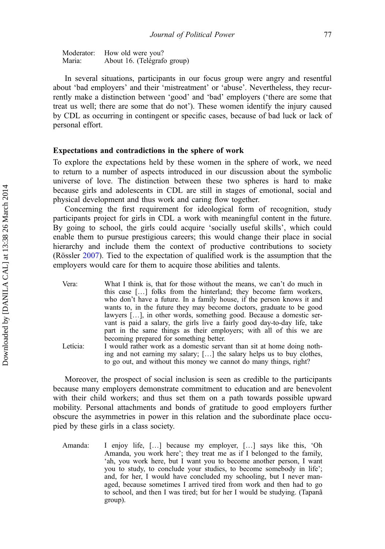Moderator: How old were you? Maria: About 16. (Telégrafo group)

In several situations, participants in our focus group were angry and resentful about 'bad employers' and their 'mistreatment' or 'abuse'. Nevertheless, they recurrently make a distinction between 'good' and 'bad' employers ('there are some that treat us well; there are some that do not'). These women identify the injury caused by CDL as occurring in contingent or specific cases, because of bad luck or lack of personal effort.

#### Expectations and contradictions in the sphere of work

To explore the expectations held by these women in the sphere of work, we need to return to a number of aspects introduced in our discussion about the symbolic universe of love. The distinction between these two spheres is hard to make because girls and adolescents in CDL are still in stages of emotional, social and physical development and thus work and caring flow together.

Concerning the first requirement for ideological form of recognition, study participants project for girls in CDL a work with meaningful content in the future. By going to school, the girls could acquire 'socially useful skills', which could enable them to pursue prestigious careers; this would change their place in social hierarchy and include them the context of productive contributions to society (Rössler [2007\)](#page-21-0). Tied to the expectation of qualified work is the assumption that the employers would care for them to acquire those abilities and talents.

- Vera: What I think is, that for those without the means, we can't do much in this case […] folks from the hinterland; they become farm workers, who don't have a future. In a family house, if the person knows it and wants to, in the future they may become doctors, graduate to be good lawyers […], in other words, something good. Because a domestic servant is paid a salary, the girls live a fairly good day-to-day life, take part in the same things as their employers; with all of this we are becoming prepared for something better. Letícia: I would rather work as a domestic servant than sit at home doing noth-
- ing and not earning my salary; […] the salary helps us to buy clothes, to go out, and without this money we cannot do many things, right?

Moreover, the prospect of social inclusion is seen as credible to the participants because many employers demonstrate commitment to education and are benevolent with their child workers; and thus set them on a path towards possible upward mobility. Personal attachments and bonds of gratitude to good employers further obscure the asymmetries in power in this relation and the subordinate place occupied by these girls in a class society.

Amanda: I enjoy life, […] because my employer, […] says like this, 'Oh Amanda, you work here'; they treat me as if I belonged to the family, 'ah, you work here, but I want you to become another person, I want you to study, to conclude your studies, to become somebody in life'; and, for her, I would have concluded my schooling, but I never managed, because sometimes I arrived tired from work and then had to go to school, and then I was tired; but for her I would be studying. (Tapanã group).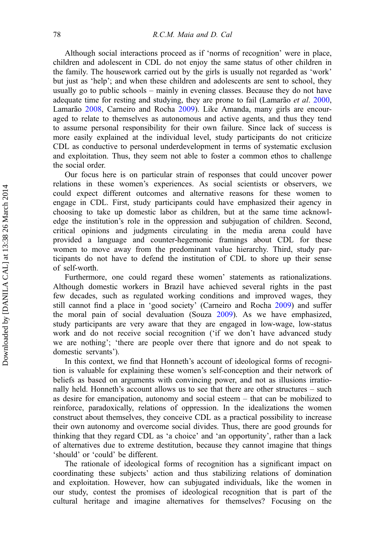Although social interactions proceed as if 'norms of recognition' were in place, children and adolescent in CDL do not enjoy the same status of other children in the family. The housework carried out by the girls is usually not regarded as 'work' but just as 'help'; and when these children and adolescents are sent to school, they usually go to public schools – mainly in evening classes. Because they do not have adequate time for resting and studying, they are prone to fail (Lamarão et al. [2000,](#page-22-0) Lamarão [2008](#page-22-0), Carneiro and Rocha [2009\)](#page-21-0). Like Amanda, many girls are encouraged to relate to themselves as autonomous and active agents, and thus they tend to assume personal responsibility for their own failure. Since lack of success is more easily explained at the individual level, study participants do not criticize CDL as conductive to personal underdevelopment in terms of systematic exclusion and exploitation. Thus, they seem not able to foster a common ethos to challenge the social order.

Our focus here is on particular strain of responses that could uncover power relations in these women's experiences. As social scientists or observers, we could expect different outcomes and alternative reasons for these women to engage in CDL. First, study participants could have emphasized their agency in choosing to take up domestic labor as children, but at the same time acknowledge the institution's role in the oppression and subjugation of children. Second, critical opinions and judgments circulating in the media arena could have provided a language and counter-hegemonic framings about CDL for these women to move away from the predominant value hierarchy. Third, study participants do not have to defend the institution of CDL to shore up their sense of self-worth.

Furthermore, one could regard these women' statements as rationalizations. Although domestic workers in Brazil have achieved several rights in the past few decades, such as regulated working conditions and improved wages, they still cannot find a place in 'good society' (Carneiro and Rocha [2009](#page-21-0)) and suffer the moral pain of social devaluation (Souza [2009\)](#page-23-0). As we have emphasized, study participants are very aware that they are engaged in low-wage, low-status work and do not receive social recognition ('if we don't have advanced study we are nothing'; 'there are people over there that ignore and do not speak to domestic servants').

In this context, we find that Honneth's account of ideological forms of recognition is valuable for explaining these women's self-conception and their network of beliefs as based on arguments with convincing power, and not as illusions irrationally held. Honneth's account allows us to see that there are other structures – such as desire for emancipation, autonomy and social esteem – that can be mobilized to reinforce, paradoxically, relations of oppression. In the idealizations the women construct about themselves, they conceive CDL as a practical possibility to increase their own autonomy and overcome social divides. Thus, there are good grounds for thinking that they regard CDL as 'a choice' and 'an opportunity', rather than a lack of alternatives due to extreme destitution, because they cannot imagine that things 'should' or 'could' be different.

The rationale of ideological forms of recognition has a significant impact on coordinating these subjects' action and thus stabilizing relations of domination and exploitation. However, how can subjugated individuals, like the women in our study, contest the promises of ideological recognition that is part of the cultural heritage and imagine alternatives for themselves? Focusing on the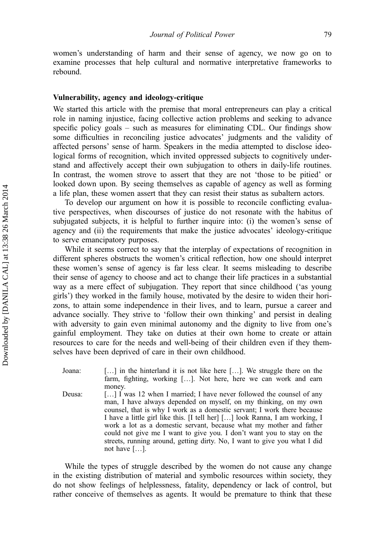women's understanding of harm and their sense of agency, we now go on to examine processes that help cultural and normative interpretative frameworks to rebound.

#### Vulnerability, agency and ideology-critique

We started this article with the premise that moral entrepreneurs can play a critical role in naming injustice, facing collective action problems and seeking to advance specific policy goals – such as measures for eliminating CDL. Our findings show some difficulties in reconciling justice advocates' judgments and the validity of affected persons' sense of harm. Speakers in the media attempted to disclose ideological forms of recognition, which invited oppressed subjects to cognitively understand and affectively accept their own subjugation to others in daily-life routines. In contrast, the women strove to assert that they are not 'those to be pitied' or looked down upon. By seeing themselves as capable of agency as well as forming a life plan, these women assert that they can resist their status as subaltern actors.

To develop our argument on how it is possible to reconcile conflicting evaluative perspectives, when discourses of justice do not resonate with the habitus of subjugated subjects, it is helpful to further inquire into: (i) the women's sense of agency and (ii) the requirements that make the justice advocates' ideology-critique to serve emancipatory purposes.

While it seems correct to say that the interplay of expectations of recognition in different spheres obstructs the women's critical reflection, how one should interpret these women's sense of agency is far less clear. It seems misleading to describe their sense of agency to choose and act to change their life practices in a substantial way as a mere effect of subjugation. They report that since childhood ('as young girls') they worked in the family house, motivated by the desire to widen their horizons, to attain some independence in their lives, and to learn, pursue a career and advance socially. They strive to 'follow their own thinking' and persist in dealing with adversity to gain even minimal autonomy and the dignity to live from one's gainful employment. They take on duties at their own home to create or attain resources to care for the needs and well-being of their children even if they themselves have been deprived of care in their own childhood.

- Joana: […] in the hinterland it is not like here […]. We struggle there on the farm, fighting, working […]. Not here, here we can work and earn money.
- Deusa: […] I was 12 when I married; I have never followed the counsel of any man, I have always depended on myself, on my thinking, on my own counsel, that is why I work as a domestic servant; I work there because I have a little girl like this. [I tell her] […] look Ranna, I am working, I work a lot as a domestic servant, because what my mother and father could not give me I want to give you. I don't want you to stay on the streets, running around, getting dirty. No, I want to give you what I did not have […].

While the types of struggle described by the women do not cause any change in the existing distribution of material and symbolic resources within society, they do not show feelings of helplessness, fatality, dependency or lack of control, but rather conceive of themselves as agents. It would be premature to think that these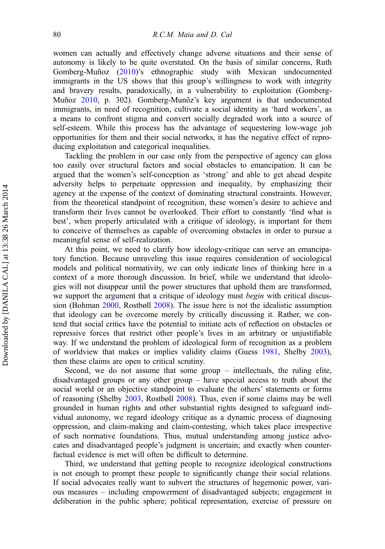women can actually and effectively change adverse situations and their sense of autonomy is likely to be quite overstated. On the basis of similar concerns, Ruth Gomberg-Muñoz [\(2010\)](#page-22-0)'s ethnographic study with Mexican undocumented immigrants in the US shows that this group's willingness to work with integrity and bravery results, paradoxically, in a vulnerability to exploitation (Gomberg-Muñoz [2010,](#page-22-0) p. 302). Gomberg-Munõz's key argument is that undocumented immigrants, in need of recognition, cultivate a social identity as 'hard workers', as a means to confront stigma and convert socially degraded work into a source of self-esteem. While this process has the advantage of sequestering low-wage job opportunities for them and their social networks, it has the negative effect of reproducing exploitation and categorical inequalities.

Tackling the problem in our case only from the perspective of agency can gloss too easily over structural factors and social obstacles to emancipation. It can be argued that the women's self-conception as 'strong' and able to get ahead despite adversity helps to perpetuate oppression and inequality, by emphasizing their agency at the expense of the context of dominating structural constraints. However, from the theoretical standpoint of recognition, these women's desire to achieve and transform their lives cannot be overlooked. Their effort to constantly 'find what is best', when properly articulated with a critique of ideology, is important for them to conceive of themselves as capable of overcoming obstacles in order to pursue a meaningful sense of self-realization.

At this point, we need to clarify how ideology-critique can serve an emancipatory function. Because unraveling this issue requires consideration of sociological models and political normativity, we can only indicate lines of thinking here in a context of a more thorough discussion. In brief, while we understand that ideologies will not disappear until the power structures that uphold them are transformed, we support the argument that a critique of ideology must *begin* with critical discussion (Bohman [2000](#page-21-0), Rostbøll [2008](#page-23-0)). The issue here is not the idealistic assumption that ideology can be overcome merely by critically discussing it. Rather, we contend that social critics have the potential to initiate acts of reflection on obstacles or repressive forces that restrict other people's lives in an arbitrary or unjustifiable way. If we understand the problem of ideological form of recognition as a problem of worldview that makes or implies validity claims (Guess [1981](#page-22-0), Shelby [2003](#page-23-0)), then these claims are open to critical scrutiny.

Second, we do not assume that some group – intellectuals, the ruling elite, disadvantaged groups or any other group – have special access to truth about the social world or an objective standpoint to evaluate the others' statements or forms of reasoning (Shelby [2003,](#page-23-0) Rostbøll [2008\)](#page-23-0). Thus, even if some claims may be well grounded in human rights and other substantial rights designed to safeguard individual autonomy, we regard ideology critique as a dynamic process of diagnosing oppression, and claim-making and claim-contesting, which takes place irrespective of such normative foundations. Thus, mutual understanding among justice advocates and disadvantaged people's judgment is uncertain; and exactly when counterfactual evidence is met will often be difficult to determine.

Third, we understand that getting people to recognize ideological constructions is not enough to prompt these people to significantly change their social relations. If social advocates really want to subvert the structures of hegemonic power, various measures – including empowerment of disadvantaged subjects; engagement in deliberation in the public sphere; political representation, exercise of pressure on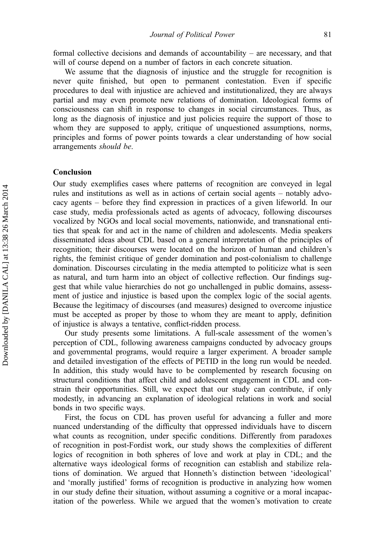formal collective decisions and demands of accountability – are necessary, and that will of course depend on a number of factors in each concrete situation.

We assume that the diagnosis of injustice and the struggle for recognition is never quite finished, but open to permanent contestation. Even if specific procedures to deal with injustice are achieved and institutionalized, they are always partial and may even promote new relations of domination. Ideological forms of consciousness can shift in response to changes in social circumstances. Thus, as long as the diagnosis of injustice and just policies require the support of those to whom they are supposed to apply, critique of unquestioned assumptions, norms, principles and forms of power points towards a clear understanding of how social arrangements should be.

#### Conclusion

Our study exemplifies cases where patterns of recognition are conveyed in legal rules and institutions as well as in actions of certain social agents – notably advocacy agents – before they find expression in practices of a given lifeworld. In our case study, media professionals acted as agents of advocacy, following discourses vocalized by NGOs and local social movements, nationwide, and transnational entities that speak for and act in the name of children and adolescents. Media speakers disseminated ideas about CDL based on a general interpretation of the principles of recognition; their discourses were located on the horizon of human and children's rights, the feminist critique of gender domination and post-colonialism to challenge domination. Discourses circulating in the media attempted to politicize what is seen as natural, and turn harm into an object of collective reflection. Our findings suggest that while value hierarchies do not go unchallenged in public domains, assessment of justice and injustice is based upon the complex logic of the social agents. Because the legitimacy of discourses (and measures) designed to overcome injustice must be accepted as proper by those to whom they are meant to apply, definition of injustice is always a tentative, conflict-ridden process.

Our study presents some limitations. A full-scale assessment of the women's perception of CDL, following awareness campaigns conducted by advocacy groups and governmental programs, would require a larger experiment. A broader sample and detailed investigation of the effects of PETID in the long run would be needed. In addition, this study would have to be complemented by research focusing on structural conditions that affect child and adolescent engagement in CDL and constrain their opportunities. Still, we expect that our study can contribute, if only modestly, in advancing an explanation of ideological relations in work and social bonds in two specific ways.

First, the focus on CDL has proven useful for advancing a fuller and more nuanced understanding of the difficulty that oppressed individuals have to discern what counts as recognition, under specific conditions. Differently from paradoxes of recognition in post-Fordist work, our study shows the complexities of different logics of recognition in both spheres of love and work at play in CDL; and the alternative ways ideological forms of recognition can establish and stabilize relations of domination. We argued that Honneth's distinction between 'ideological' and 'morally justified' forms of recognition is productive in analyzing how women in our study define their situation, without assuming a cognitive or a moral incapacitation of the powerless. While we argued that the women's motivation to create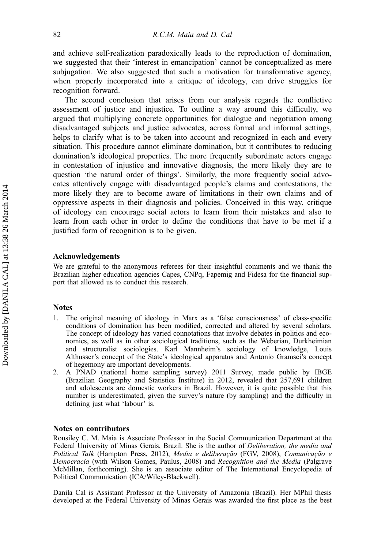<span id="page-20-0"></span>and achieve self-realization paradoxically leads to the reproduction of domination, we suggested that their 'interest in emancipation' cannot be conceptualized as mere subjugation. We also suggested that such a motivation for transformative agency, when properly incorporated into a critique of ideology, can drive struggles for recognition forward.

The second conclusion that arises from our analysis regards the conflictive assessment of justice and injustice. To outline a way around this difficulty, we argued that multiplying concrete opportunities for dialogue and negotiation among disadvantaged subjects and justice advocates, across formal and informal settings, helps to clarify what is to be taken into account and recognized in each and every situation. This procedure cannot eliminate domination, but it contributes to reducing domination's ideological properties. The more frequently subordinate actors engage in contestation of injustice and innovative diagnosis, the more likely they are to question 'the natural order of things'. Similarly, the more frequently social advocates attentively engage with disadvantaged people's claims and contestations, the more likely they are to become aware of limitations in their own claims and of oppressive aspects in their diagnosis and policies. Conceived in this way, critique of ideology can encourage social actors to learn from their mistakes and also to learn from each other in order to define the conditions that have to be met if a justified form of recognition is to be given.

#### Acknowledgements

We are grateful to the anonymous referees for their insightful comments and we thank the Brazilian higher education agencies Capes, CNPq, Fapemig and Fidesa for the financial support that allowed us to conduct this research.

#### **Notes**

- 1. The original meaning of ideology in Marx as a 'false consciousness' of class-specific conditions of domination has been modified, corrected and altered by several scholars. The concept of ideology has varied connotations that involve debates in politics and economics, as well as in other sociological traditions, such as the Weberian, Durkheimian and structuralist sociologies. Karl Mannheim's sociology of knowledge, Louis Althusser's concept of the State's ideological apparatus and Antonio Gramsci's concept of hegemony are important developments.
- 2. A PNAD (national home sampling survey) 2011 Survey, made public by IBGE (Brazilian Geography and Statistics Institute) in 2012, revealed that 257,691 children and adolescents are domestic workers in Brazil. However, it is quite possible that this number is underestimated, given the survey's nature (by sampling) and the difficulty in defining just what 'labour' is.

#### Notes on contributors

Rousiley C. M. Maia is Associate Professor in the Social Communication Department at the Federal University of Minas Gerais, Brazil. She is the author of Deliberation, the media and Political Talk (Hampton Press, 2012), Media e deliberação (FGV, 2008), Comunicação e Democracia (with Wilson Gomes, Paulus, 2008) and Recognition and the Media (Palgrave McMillan, forthcoming). She is an associate editor of The International Encyclopedia of Political Communication (ICA/Wiley-Blackwell).

Danila Cal is Assistant Professor at the University of Amazonia (Brazil). Her MPhil thesis developed at the Federal University of Minas Gerais was awarded the first place as the best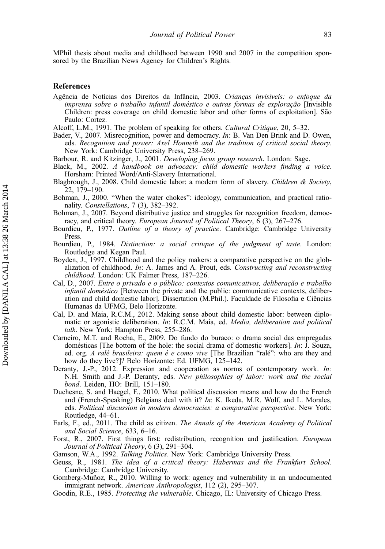<span id="page-21-0"></span>MPhil thesis about media and childhood between 1990 and 2007 in the competition sponsored by the Brazilian News Agency for Children's Rights.

#### References

- Agência de Notícias dos Direitos da Infância, 2003. Crianças invisíveis: o enfoque da imprensa sobre o trabalho infantil doméstico e outras formas de exploração [Invisible Children: press coverage on child domestic labor and other forms of exploitation]. São Paulo: Cortez.
- Alcoff, L.M., 1991. The problem of speaking for others. Cultural Critique, 20, 5–32.
- Bader, V., 2007. Misrecognition, power and democracy. In: B. Van Den Brink and D. Owen, eds. Recognition and power: Axel Honneth and the tradition of critical social theory. New York: Cambridge University Press, 238–269.
- Barbour, R. and Kitzinger, J., 2001. Developing focus group research. London: Sage.
- Black, M., 2002. A handbook on advocacy: child domestic workers finding a voice. Horsham: Printed Word/Anti-Slavery International.
- Blagbrough, J., 2008. Child domestic labor: a modern form of slavery. Children & Society, 22, 179–190.
- Bohman, J., 2000. "When the water chokes": ideology, communication, and practical rationality. Constellations, 7 (3), 382–392.
- Bohman, J., 2007. Beyond distributive justice and struggles for recognition freedom, democracy, and critical theory. European Journal of Political Theory, 6 (3), 267–276.
- Bourdieu, P., 1977. Outline of a theory of practice. Cambridge: Cambridge University Press.
- Bourdieu, P., 1984. Distinction: a social critique of the judgment of taste. London: Routledge and Kegan Paul.
- Boyden, J., 1997. Childhood and the policy makers: a comparative perspective on the globalization of childhood. In: A. James and A. Prout, eds. Constructing and reconstructing childhood. London: UK Falmer Press, 187–226.
- Cal, D., 2007. Entre o privado e o público: contextos comunicativos, deliberação e trabalho infantil doméstico [Between the private and the public: communicative contexts, deliberation and child domestic labor]. Dissertation (M.Phil.). Faculdade de Filosofia e Ciências Humanas da UFMG, Belo Horizonte.
- Cal, D. and Maia, R.C.M., 2012. Making sense about child domestic labor: between diplomatic or agonistic deliberation. In: R.C.M. Maia, ed. Media, deliberation and political talk. New York: Hampton Press, 255–286.
- Carneiro, M.T. and Rocha, E., 2009. Do fundo do buraco: o drama social das empregadas domésticas [The bottom of the hole: the social drama of domestic workers]. In: J. Souza, ed. org. A ralé brasileira: quem é e como vive [The Brazilian "ralé": who are they and how do they live?]? Belo Horizonte: Ed. UFMG, 125–142.
- Deranty, J.-P., 2012. Expression and cooperation as norms of contemporary work. In: N.H. Smith and J.-P. Deranty, eds. New philosophies of labor: work and the social bond. Leiden, HO: Brill, 151–180.
- Duchesne, S. and Haegel, F., 2010. What political discussion means and how do the French and (French-Speaking) Belgians deal with it? In: K. Ikeda, M.R. Wolf, and L. Morales, eds. Political discussion in modern democracies: a comparative perspective. New York: Routledge, 44–61.
- Earls, F., ed., 2011. The child as citizen. The Annals of the American Academy of Political and Social Science, 633, 6–16.
- Forst, R., 2007. First things first: redistribution, recognition and justification. European Journal of Political Theory, 6 (3), 291–304.
- Gamson, W.A., 1992. Talking Politics. New York: Cambridge University Press.
- Geuss, R., 1981. The idea of a critical theory: Habermas and the Frankfurt School. Cambridge: Cambridge University.
- Gomberg-Muñoz, R., 2010. Willing to work: agency and vulnerability in an undocumented immigrant network. American Anthropologist, 112 (2), 295–307.
- Goodin, R.E., 1985. Protecting the vulnerable. Chicago, IL: University of Chicago Press.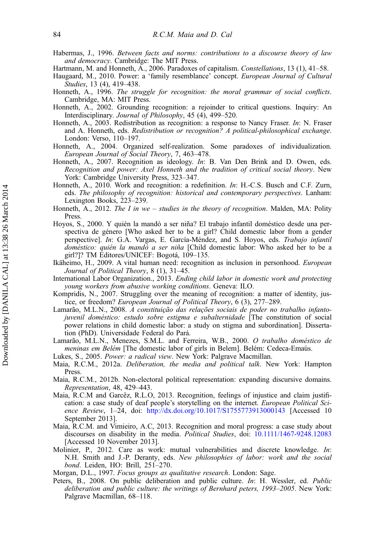- <span id="page-22-0"></span>Habermas, J., 1996. Between facts and norms: contributions to a discourse theory of law and democracy. Cambridge: The MIT Press.
- Hartmann, M. and Honneth, A., 2006. Paradoxes of capitalism. Constellations, 13 (1), 41–58.
- Haugaard, M., 2010. Power: a 'family resemblance' concept. European Journal of Cultural Studies, 13 (4), 419–438.
- Honneth, A., 1996. The struggle for recognition: the moral grammar of social conflicts. Cambridge, MA: MIT Press.
- Honneth, A., 2002. Grounding recognition: a rejoinder to critical questions. Inquiry: An Interdisciplinary. Journal of Philosophy, 45 (4), 499–520.
- Honneth, A., 2003. Redistribution as recognition: a response to Nancy Fraser. In: N. Fraser and A. Honneth, eds. Redistribution or recognition? A political-philosophical exchange. London: Verso, 110–197.
- Honneth, A., 2004. Organized self-realization. Some paradoxes of individualization. European Journal of Social Theory, 7, 463–478.
- Honneth, A., 2007. Recognition as ideology. In: B. Van Den Brink and D. Owen, eds. Recognition and power: Axel Honneth and the tradition of critical social theory. New York: Cambridge University Press, 323–347.
- Honneth, A., 2010. Work and recognition: a redefinition. In: H.-C.S. Busch and C.F. Zurn, eds. The philosophy of recognition: historical and contemporary perspectives. Lanham: Lexington Books, 223–239.
- Honneth, A., 2012. The I in we studies in the theory of recognition. Malden, MA: Polity Press.
- Hoyos, S., 2000. Y quién la mandó a ser niña? El trabajo infantil doméstico desde una perspectiva de género [Who asked her to be a girl? Child domestic labor from a gender perspective]. In: G.A. Vargas, E. García-Méndez, and S. Hoyos, eds. Trabajo infantil doméstico: quién la mandó a ser niña [Child domestic labor: Who asked her to be a girl?]? TM Editores/UNICEF: Bogotá, 109–135.
- Ikäheimo, H., 2009. A vital human need: recognition as inclusion in personhood. European Journal of Political Theory, 8 (1), 31–45.
- International Labor Organization., 2013. Ending child labor in domestic work and protecting young workers from abusive working conditions. Geneva: ILO.
- Kompridis, N., 2007. Struggling over the meaning of recognition: a matter of identity, justice, or freedom? European Journal of Political Theory, 6 (3), 277–289.
- Lamarão, M.L.N., 2008. A constituição das relações sociais de poder no trabalho infantojuvenil doméstico: estudo sobre estigma e subalternidade [The constitution of social power relations in child domestic labor: a study on stigma and subordination]. Dissertation (PhD). Universidade Federal do Pará.
- Lamarão, M.L.N., Menezes, S.M.L. and Ferreira, W.B., 2000. O trabalho doméstico de meninas em Belém [The domestic labor of girls in Belem]. Belém: Cedeca-Emaús.

Lukes, S., 2005. Power: a radical view. New York: Palgrave Macmillan.

- Maia, R.C.M., 2012a. Deliberation, the media and political talk. New York: Hampton Press.
- Maia, R.C.M., 2012b. Non-electoral political representation: expanding discursive domains. Representation, 48, 429–443.
- Maia, R.C.M and Garcêz, R.L.O, 2013. Recognition, feelings of injustice and claim justification: a case study of deaf people's storytelling on the internet. European Political Science Review, 1–24, doi: <http://dx.doi.org/10.1017/S1755773913000143> [Accessed 10 September 2013].
- Maia, R.C.M. and Vimieiro, A.C, 2013. Recognition and moral progress: a case study about discourses on disability in the media. Political Studies, doi: [10.1111/1467-9248.12083](http://dx.doi.org/10.1111/1467-9248.12083) [Accessed 10 November 2013].
- Molinier, P., 2012. Care as work: mutual vulnerabilities and discrete knowledge. In: N.H. Smith and J.-P. Deranty, eds. New philosophies of labor: work and the social bond. Leiden, HO: Brill, 251–270.
- Morgan, D.L., 1997. Focus groups as qualitative research. London: Sage.
- Peters, B., 2008. On public deliberation and public culture. In: H. Wessler, ed. Public deliberation and public culture: the writings of Bernhard peters, 1993–2005. New York: Palgrave Macmillan, 68–118.